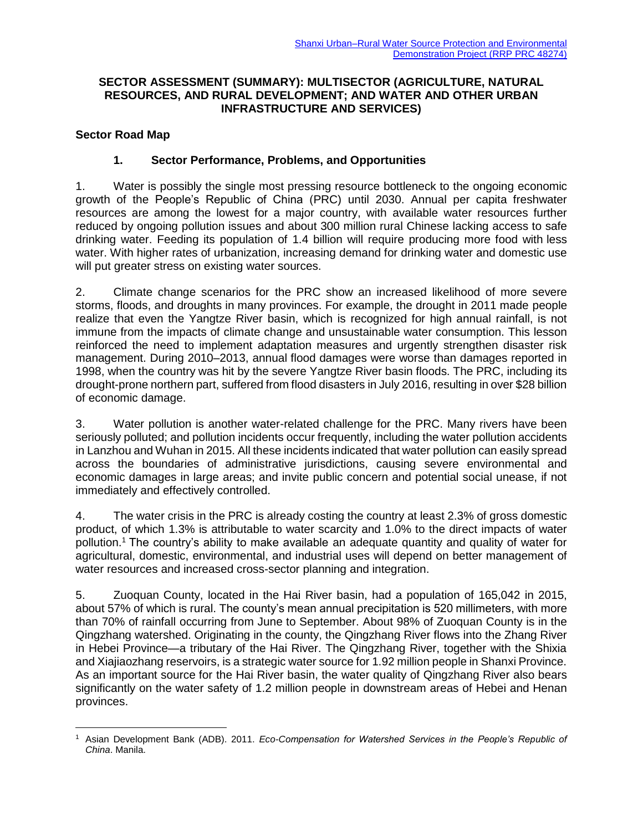### **SECTOR ASSESSMENT (SUMMARY): MULTISECTOR (AGRICULTURE, NATURAL RESOURCES, AND RURAL DEVELOPMENT; AND WATER AND OTHER URBAN INFRASTRUCTURE AND SERVICES)**

### **Sector Road Map**

### **1. Sector Performance, Problems, and Opportunities**

1. Water is possibly the single most pressing resource bottleneck to the ongoing economic growth of the People's Republic of China (PRC) until 2030. Annual per capita freshwater resources are among the lowest for a major country, with available water resources further reduced by ongoing pollution issues and about 300 million rural Chinese lacking access to safe drinking water. Feeding its population of 1.4 billion will require producing more food with less water. With higher rates of urbanization, increasing demand for drinking water and domestic use will put greater stress on existing water sources.

2. Climate change scenarios for the PRC show an increased likelihood of more severe storms, floods, and droughts in many provinces. For example, the drought in 2011 made people realize that even the Yangtze River basin, which is recognized for high annual rainfall, is not immune from the impacts of climate change and unsustainable water consumption. This lesson reinforced the need to implement adaptation measures and urgently strengthen disaster risk management. During 2010–2013, annual flood damages were worse than damages reported in 1998, when the country was hit by the severe Yangtze River basin floods. The PRC, including its drought-prone northern part, suffered from flood disasters in July 2016, resulting in over \$28 billion of economic damage.

3. Water pollution is another water-related challenge for the PRC. Many rivers have been seriously polluted; and pollution incidents occur frequently, including the water pollution accidents in Lanzhou and Wuhan in 2015. All these incidents indicated that water pollution can easily spread across the boundaries of administrative jurisdictions, causing severe environmental and economic damages in large areas; and invite public concern and potential social unease, if not immediately and effectively controlled.

4. The water crisis in the PRC is already costing the country at least 2.3% of gross domestic product, of which 1.3% is attributable to water scarcity and 1.0% to the direct impacts of water pollution.<sup>1</sup> The country's ability to make available an adequate quantity and quality of water for agricultural, domestic, environmental, and industrial uses will depend on better management of water resources and increased cross-sector planning and integration.

5. Zuoquan County, located in the Hai River basin, had a population of 165,042 in 2015, about 57% of which is rural. The county's mean annual precipitation is 520 millimeters, with more than 70% of rainfall occurring from June to September. About 98% of Zuoquan County is in the Qingzhang watershed. Originating in the county, the Qingzhang River flows into the Zhang River in Hebei Province—a tributary of the Hai River. The Qingzhang River, together with the Shixia and Xiajiaozhang reservoirs, is a strategic water source for 1.92 million people in Shanxi Province. As an important source for the Hai River basin, the water quality of Qingzhang River also bears significantly on the water safety of 1.2 million people in downstream areas of Hebei and Henan provinces.

 $\overline{a}$ <sup>1</sup> Asian Development Bank (ADB). 2011. *Eco-Compensation for Watershed Services in the People's Republic of China*. Manila.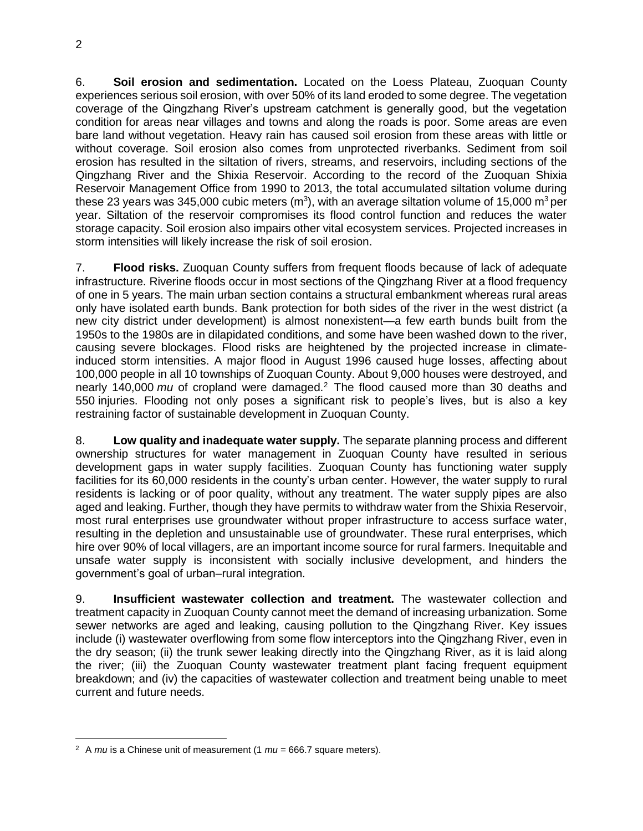6. **Soil erosion and sedimentation.** Located on the Loess Plateau, Zuoquan County experiences serious soil erosion, with over 50% of its land eroded to some degree. The vegetation coverage of the Qingzhang River's upstream catchment is generally good, but the vegetation condition for areas near villages and towns and along the roads is poor. Some areas are even bare land without vegetation. Heavy rain has caused soil erosion from these areas with little or without coverage. Soil erosion also comes from unprotected riverbanks. Sediment from soil erosion has resulted in the siltation of rivers, streams, and reservoirs, including sections of the Qingzhang River and the Shixia Reservoir. According to the record of the Zuoquan Shixia Reservoir Management Office from 1990 to 2013, the total accumulated siltation volume during these 23 years was 345,000 cubic meters (m<sup>3</sup>), with an average siltation volume of 15,000 m<sup>3</sup> per year. Siltation of the reservoir compromises its flood control function and reduces the water storage capacity. Soil erosion also impairs other vital ecosystem services. Projected increases in storm intensities will likely increase the risk of soil erosion.

7. **Flood risks.** Zuoquan County suffers from frequent floods because of lack of adequate infrastructure. Riverine floods occur in most sections of the Qingzhang River at a flood frequency of one in 5 years. The main urban section contains a structural embankment whereas rural areas only have isolated earth bunds. Bank protection for both sides of the river in the west district (a new city district under development) is almost nonexistent—a few earth bunds built from the 1950s to the 1980s are in dilapidated conditions, and some have been washed down to the river, causing severe blockages. Flood risks are heightened by the projected increase in climateinduced storm intensities. A major flood in August 1996 caused huge losses, affecting about 100,000 people in all 10 townships of Zuoquan County. About 9,000 houses were destroyed, and nearly 140,000 *mu* of cropland were damaged.<sup>2</sup> The flood caused more than 30 deaths and 550 injuries. Flooding not only poses a significant risk to people's lives, but is also a key restraining factor of sustainable development in Zuoquan County.

8. **Low quality and inadequate water supply.** The separate planning process and different ownership structures for water management in Zuoquan County have resulted in serious development gaps in water supply facilities. Zuoquan County has functioning water supply facilities for its 60,000 residents in the county's urban center. However, the water supply to rural residents is lacking or of poor quality, without any treatment. The water supply pipes are also aged and leaking. Further, though they have permits to withdraw water from the Shixia Reservoir, most rural enterprises use groundwater without proper infrastructure to access surface water, resulting in the depletion and unsustainable use of groundwater. These rural enterprises, which hire over 90% of local villagers, are an important income source for rural farmers. Inequitable and unsafe water supply is inconsistent with socially inclusive development, and hinders the government's goal of urban–rural integration.

9. **Insufficient wastewater collection and treatment.** The wastewater collection and treatment capacity in Zuoquan County cannot meet the demand of increasing urbanization. Some sewer networks are aged and leaking, causing pollution to the Qingzhang River. Key issues include (i) wastewater overflowing from some flow interceptors into the Qingzhang River, even in the dry season; (ii) the trunk sewer leaking directly into the Qingzhang River, as it is laid along the river; (iii) the Zuoquan County wastewater treatment plant facing frequent equipment breakdown; and (iv) the capacities of wastewater collection and treatment being unable to meet current and future needs.

 $\overline{a}$ 

<sup>&</sup>lt;sup>2</sup> A  $mu$  is a Chinese unit of measurement (1  $mu$  = 666.7 square meters).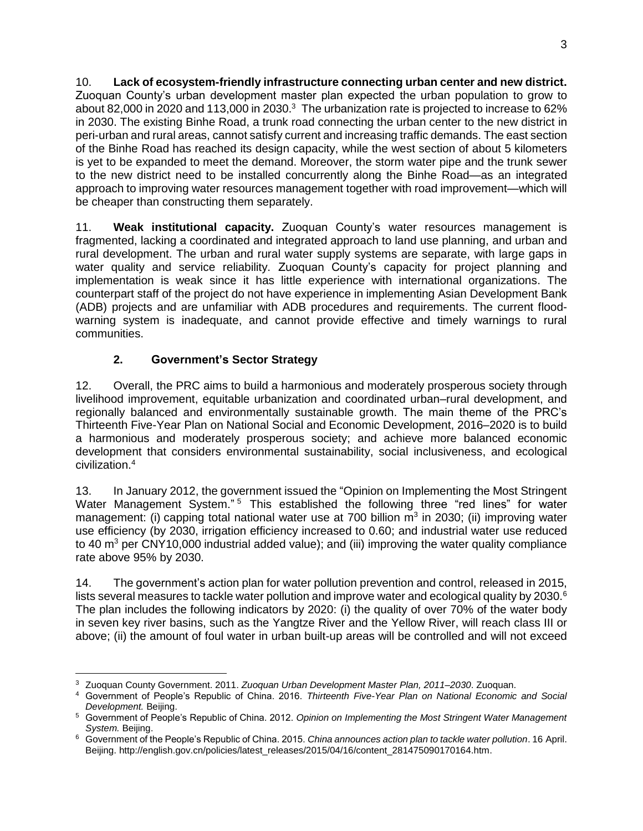10. **Lack of ecosystem-friendly infrastructure connecting urban center and new district.** Zuoquan County's urban development master plan expected the urban population to grow to about 82,000 in 2020 and 113,000 in 2030. $3$  The urbanization rate is projected to increase to 62% in 2030. The existing Binhe Road, a trunk road connecting the urban center to the new district in peri-urban and rural areas, cannot satisfy current and increasing traffic demands. The east section of the Binhe Road has reached its design capacity, while the west section of about 5 kilometers is yet to be expanded to meet the demand. Moreover, the storm water pipe and the trunk sewer to the new district need to be installed concurrently along the Binhe Road—as an integrated approach to improving water resources management together with road improvement—which will be cheaper than constructing them separately.

11. **Weak institutional capacity.** Zuoquan County's water resources management is fragmented, lacking a coordinated and integrated approach to land use planning, and urban and rural development. The urban and rural water supply systems are separate, with large gaps in water quality and service reliability. Zuoquan County's capacity for project planning and implementation is weak since it has little experience with international organizations. The counterpart staff of the project do not have experience in implementing Asian Development Bank (ADB) projects and are unfamiliar with ADB procedures and requirements. The current floodwarning system is inadequate, and cannot provide effective and timely warnings to rural communities.

# **2. Government's Sector Strategy**

 $\overline{a}$ 

12. Overall, the PRC aims to build a harmonious and moderately prosperous society through livelihood improvement, equitable urbanization and coordinated urban–rural development, and regionally balanced and environmentally sustainable growth. The main theme of the PRC's Thirteenth Five-Year Plan on National Social and Economic Development, 2016–2020 is to build a harmonious and moderately prosperous society; and achieve more balanced economic development that considers environmental sustainability, social inclusiveness, and ecological civilization.<sup>4</sup>

13. In January 2012, the government issued the "Opinion on Implementing the Most Stringent Water Management System."<sup>5</sup> This established the following three "red lines" for water management: (i) capping total national water use at 700 billion  $m^3$  in 2030; (ii) improving water use efficiency (by 2030, irrigation efficiency increased to 0.60; and industrial water use reduced to 40  $\text{m}^3$  per CNY10,000 industrial added value); and (iii) improving the water quality compliance rate above 95% by 2030.

14. The government's action plan for water pollution prevention and control, released in 2015, lists several measures to tackle water pollution and improve water and ecological quality by 2030.<sup>6</sup> The plan includes the following indicators by 2020: (i) the quality of over 70% of the water body in seven key river basins, such as the Yangtze River and the Yellow River, will reach class III or above; (ii) the amount of foul water in urban built-up areas will be controlled and will not exceed

<sup>3</sup> Zuoquan County Government. 2011. *Zuoquan Urban Development Master Plan, 2011–2030*. Zuoquan.

<sup>4</sup> Government of People's Republic of China. 2016. *Thirteenth Five-Year Plan on National Economic and Social Development.* Beijing.

<sup>5</sup> Government of People's Republic of China. 2012. *Opinion on Implementing the Most Stringent Water Management System.* Beijing.

<sup>6</sup> Government of the People's Republic of China. 2015. *China announces action plan to tackle water pollution*. 16 April. Beijing. http://english.gov.cn/policies/latest\_releases/2015/04/16/content\_281475090170164.htm.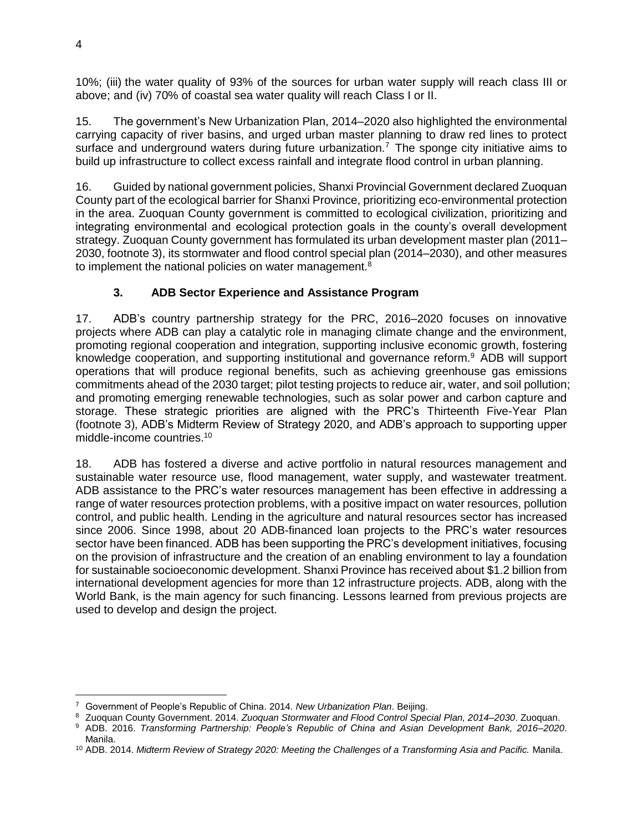10%; (iii) the water quality of 93% of the sources for urban water supply will reach class III or above; and (iv) 70% of coastal sea water quality will reach Class I or II.

15. The government's New Urbanization Plan, 2014–2020 also highlighted the environmental carrying capacity of river basins, and urged urban master planning to draw red lines to protect surface and underground waters during future urbanization.<sup>7</sup> The sponge city initiative aims to build up infrastructure to collect excess rainfall and integrate flood control in urban planning.

16. Guided by national government policies, Shanxi Provincial Government declared Zuoquan County part of the ecological barrier for Shanxi Province, prioritizing eco-environmental protection in the area. Zuoquan County government is committed to ecological civilization, prioritizing and integrating environmental and ecological protection goals in the county's overall development strategy. Zuoquan County government has formulated its urban development master plan (2011– 2030, footnote 3), its stormwater and flood control special plan (2014–2030), and other measures to implement the national policies on water management.<sup>8</sup>

## **3. ADB Sector Experience and Assistance Program**

17. ADB's country partnership strategy for the PRC, 2016–2020 focuses on innovative projects where ADB can play a catalytic role in managing climate change and the environment, promoting regional cooperation and integration, supporting inclusive economic growth, fostering knowledge cooperation, and supporting institutional and governance reform.<sup>9</sup> ADB will support operations that will produce regional benefits, such as achieving greenhouse gas emissions commitments ahead of the 2030 target; pilot testing projects to reduce air, water, and soil pollution; and promoting emerging renewable technologies, such as solar power and carbon capture and storage. These strategic priorities are aligned with the PRC's Thirteenth Five-Year Plan (footnote 3), ADB's Midterm Review of Strategy 2020, and ADB's approach to supporting upper middle-income countries.<sup>10</sup>

18. ADB has fostered a diverse and active portfolio in natural resources management and sustainable water resource use, flood management, water supply, and wastewater treatment. ADB assistance to the PRC's water resources management has been effective in addressing a range of water resources protection problems, with a positive impact on water resources, pollution control, and public health. Lending in the agriculture and natural resources sector has increased since 2006. Since 1998, about 20 ADB-financed loan projects to the PRC's water resources sector have been financed. ADB has been supporting the PRC's development initiatives, focusing on the provision of infrastructure and the creation of an enabling environment to lay a foundation for sustainable socioeconomic development. Shanxi Province has received about \$1.2 billion from international development agencies for more than 12 infrastructure projects. ADB, along with the World Bank, is the main agency for such financing. Lessons learned from previous projects are used to develop and design the project.

 $\overline{a}$ 

<sup>7</sup> Government of People's Republic of China. 2014. *New Urbanization Plan*. Beijing.

<sup>8</sup> Zuoquan County Government. 2014. *Zuoquan Stormwater and Flood Control Special Plan, 2014–2030*. Zuoquan.

<sup>9</sup> ADB. 2016. *Transforming Partnership: People's Republic of China and Asian Development Bank, 2016–2020*. Manila.

<sup>10</sup> ADB. 2014. *Midterm Review of Strategy 2020: Meeting the Challenges of a Transforming Asia and Pacific.* Manila.